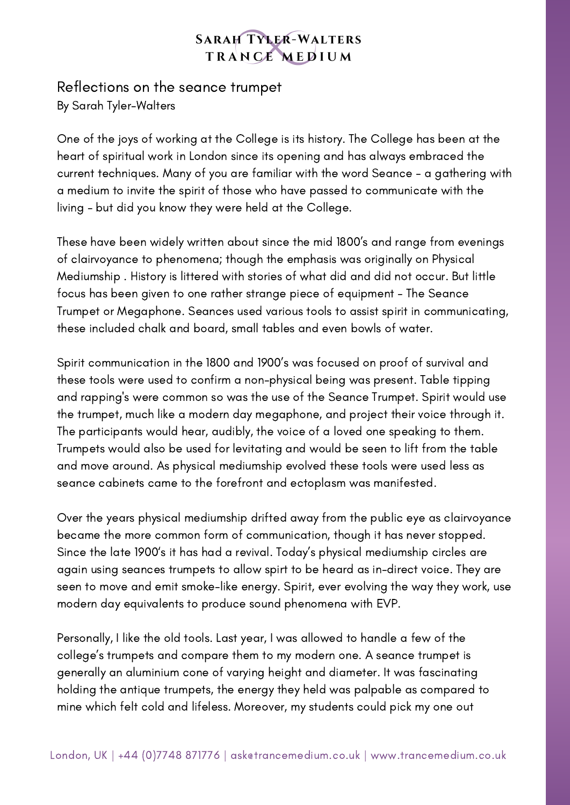## **SARAH TYLER-WALTERS** TRANCE MEDIUM

## Reflections on the seance trumpet By Sarah Tyler-Walters

One of the joys of working at the College is its history. The College has been at the heart of spiritual work in London since its opening and has always embraced the current techniques. Many of you are familiar with the word Seance - a gathering with a medium to invite the spirit of those who have passed to communicate with the living - but did you know they were held at the College.

These have been widely written about since the mid 1800's and range from evenings of clairvoyance to phenomena; though the emphasis was originally on Physical Mediumship . History is littered with stories of what did and did not occur. But little focus has been given to one rather strange piece of equipment - The Seance Trumpet or Megaphone. Seances used various tools to assist spirit in communicating, these included chalk and board, small tables and even bowls of water.

Spirit communication in the 1800 and 1900's was focused on proof of survival and these tools were used to confirm a non-physical being was present. Table tipping and rapping's were common so was the use of the Seance Trumpet. Spirit would use the trumpet, much like a modern day megaphone, and project their voice through it. The participants would hear, audibly, the voice of a loved one speaking to them. Trumpets would also be used for levitating and would be seen to lift from the table and move around. As physical mediumship evolved these tools were used less as seance cabinets came to the forefront and ectoplasm was manifested.

Over the years physical mediumship drifted away from the public eye as clairvoyance became the more common form of communication, though it has never stopped. Since the late 1900's it has had a revival. Today's physical mediumship circles are again using seances trumpets to allow spirt to be heard as in-direct voice. They are seen to move and emit smoke-like energy. Spirit, ever evolving the way they work, use modern day equivalents to produce sound phenomena with EVP.

Personally, I like the old tools. Last year, I was allowed to handle a few of the college's trumpets and compare them to my modern one. A seance trumpet is generally an aluminium cone of varying height and diameter. It was fascinating holding the antique trumpets, the energy they held was palpable as compared to mine which felt cold and lifeless. Moreover, my students could pick my one out